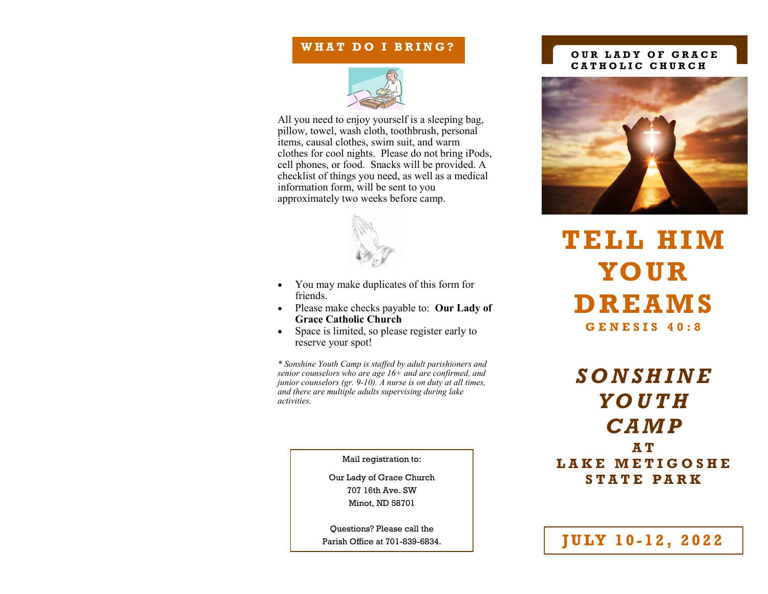## WHAT DO I BRING?



All you need to enjoy yourself is a sleeping bag, pillow, towel, wash cloth, toothbrush, personal items, causal clothes, swim suit, and warm clothes for cool nights. Please do not bring iPods, cell phones, or food. Snacks will be provided. A checklist of things you need, as well as a medical information form, will be sent to you approximately two weeks before camp.



- You may make duplicates of this form for friends.
- Please make checks payable to: **Our Lady of Grace Catholic Church**
- Space is limited, so please register early to reserve your spot!

*\* Sonshine Youth Camp is staffed by adult parishioners and senior counselors who are age 16+ and are confirmed, and junior counselors (gr. 9-10). A nurse is on duty at all times, and there are multiple adults supervising during lake activities.*

Mail registration to:

Our Lady of Grace Church 707 16th Ave. SW Minot, ND 58701

Questions? Please call the Parish Office at 701-839-6834.

### **OUR LADY OF GRACE C A T H O L I C C H U R C H**



**TELL HIM YOU R DREA MS G E N E S I S 4 0 : 8**

*S O N S H I N E Y O U T H C A M P*  **A T L A K E M E T I G O S H E S T A T E P A R K**

**JULY 10-12, 2022**